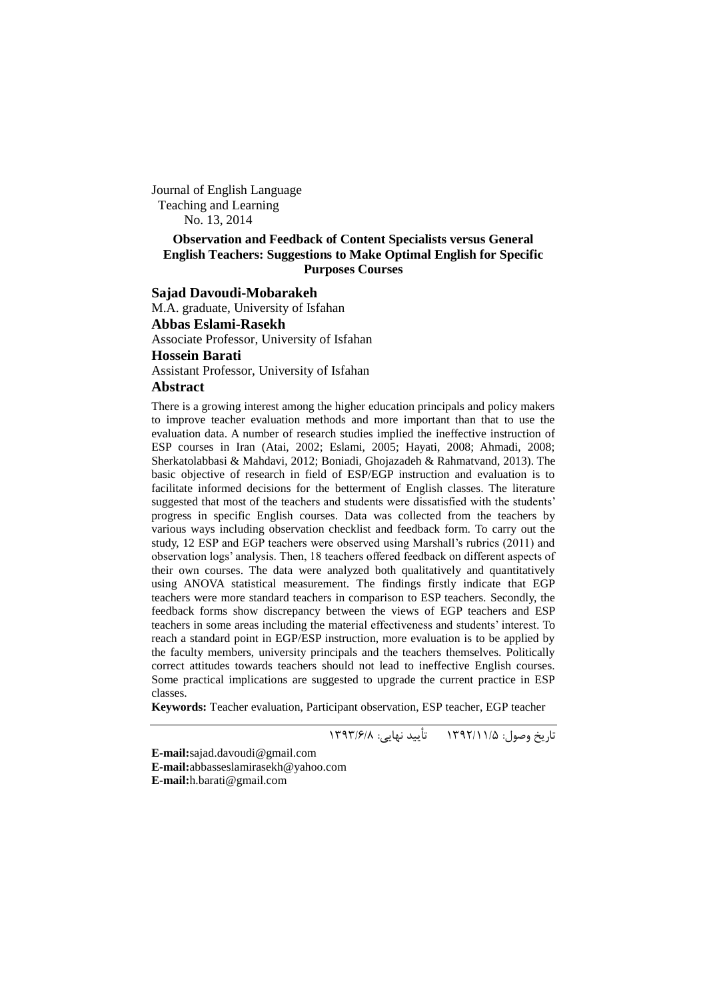Journal of English Language Teaching and Learning No. 13, 2014

#### **Observation and Feedback of Content Specialists versus General English Teachers: Suggestions to Make Optimal English for Specific Purposes Courses**

## **Sajad Davoudi-Mobarakeh**

M.A. graduate, University of Isfahan **Abbas Eslami-Rasekh** Associate Professor, University of Isfahan **Hossein Barati** Assistant Professor, University of Isfahan

## **Abstract**

There is a growing interest among the higher education principals and policy makers to improve teacher evaluation methods and more important than that to use the evaluation data. A number of research studies implied the ineffective instruction of ESP courses in Iran (Atai, 2002; Eslami, 2005; Hayati, 2008; Ahmadi, 2008; Sherkatolabbasi & Mahdavi, 2012; Boniadi, Ghojazadeh & Rahmatvand, 2013). The basic objective of research in field of ESP/EGP instruction and evaluation is to facilitate informed decisions for the betterment of English classes. The literature suggested that most of the teachers and students were dissatisfied with the students' progress in specific English courses. Data was collected from the teachers by various ways including observation checklist and feedback form. To carry out the study, 12 ESP and EGP teachers were observed using Marshall"s rubrics (2011) and observation logs" analysis. Then, 18 teachers offered feedback on different aspects of their own courses. The data were analyzed both qualitatively and quantitatively using ANOVA statistical measurement. The findings firstly indicate that EGP teachers were more standard teachers in comparison to ESP teachers. Secondly, the feedback forms show discrepancy between the views of EGP teachers and ESP teachers in some areas including the material effectiveness and students' interest. To reach a standard point in EGP/ESP instruction, more evaluation is to be applied by the faculty members, university principals and the teachers themselves. Politically correct attitudes towards teachers should not lead to ineffective English courses. Some practical implications are suggested to upgrade the current practice in ESP classes.

**Keywords:** Teacher evaluation, Participant observation, ESP teacher, EGP teacher

تاریخ وصول: 1931/11/5 تأیید نهایی: 1939/6/8

**E-mail:**sajad.davoudi@gmail.com

**E-mail:**abbasseslamirasekh@yahoo.com **E-mail:**h.barati@gmail.com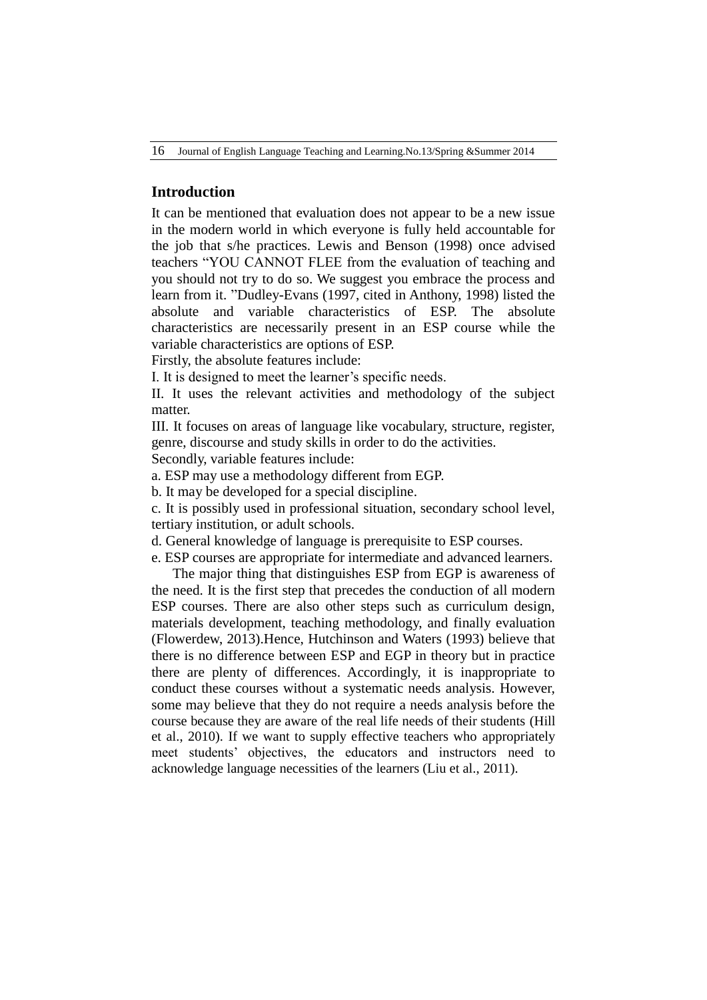16 Journal of English Language Teaching and Learning.No.13/Spring &Summer 2014

# **Introduction**

It can be mentioned that evaluation does not appear to be a new issue in the modern world in which everyone is fully held accountable for the job that s/he practices. Lewis and Benson (1998) once advised teachers "YOU CANNOT FLEE from the evaluation of teaching and you should not try to do so. We suggest you embrace the process and learn from it. "Dudley-Evans (1997, cited in Anthony, 1998) listed the absolute and variable characteristics of ESP. The absolute characteristics are necessarily present in an ESP course while the variable characteristics are options of ESP.

Firstly, the absolute features include:

I. It is designed to meet the learner's specific needs.

II. It uses the relevant activities and methodology of the subject matter.

III. It focuses on areas of language like vocabulary, structure, register, genre, discourse and study skills in order to do the activities.

Secondly, variable features include:

a. ESP may use a methodology different from EGP.

b. It may be developed for a special discipline.

c. It is possibly used in professional situation, secondary school level, tertiary institution, or adult schools.

d. General knowledge of language is prerequisite to ESP courses.

e. ESP courses are appropriate for intermediate and advanced learners.

The major thing that distinguishes ESP from EGP is awareness of the need. It is the first step that precedes the conduction of all modern ESP courses. There are also other steps such as curriculum design, materials development, teaching methodology, and finally evaluation (Flowerdew, 2013).Hence, Hutchinson and Waters (1993) believe that there is no difference between ESP and EGP in theory but in practice there are plenty of differences. Accordingly, it is inappropriate to conduct these courses without a systematic needs analysis. However, some may believe that they do not require a needs analysis before the course because they are aware of the real life needs of their students (Hill et al., 2010). If we want to supply effective teachers who appropriately meet students" objectives, the educators and instructors need to acknowledge language necessities of the learners (Liu et al., 2011).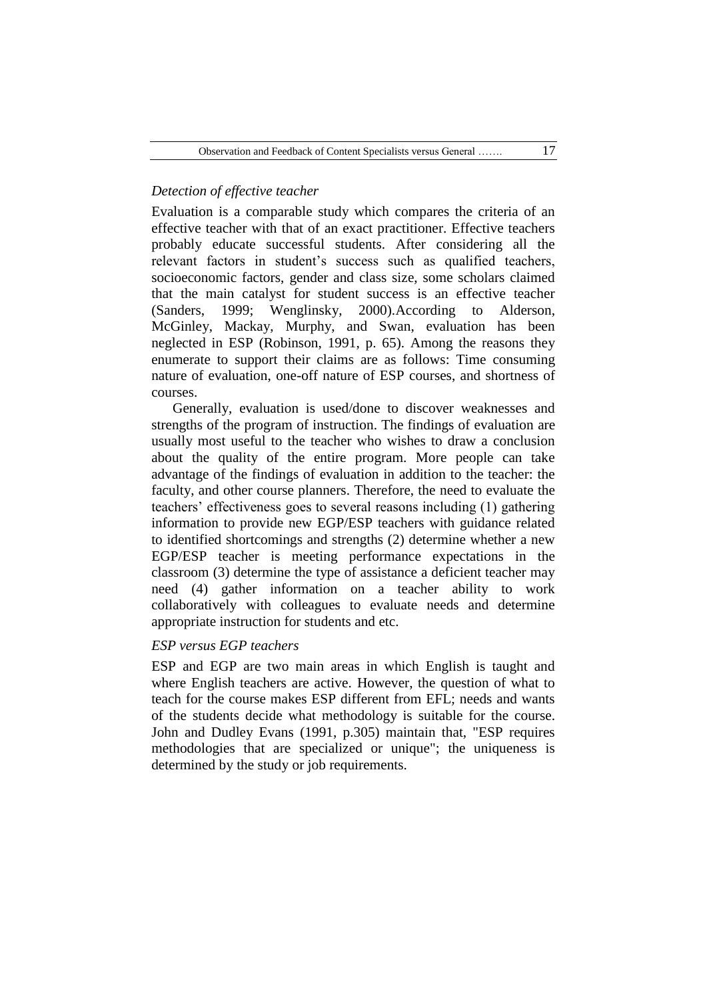# *Detection of effective teacher*

Evaluation is a comparable study which compares the criteria of an effective teacher with that of an exact practitioner. Effective teachers probably educate successful students. After considering all the relevant factors in student"s success such as qualified teachers, socioeconomic factors, gender and class size, some scholars claimed that the main catalyst for student success is an effective teacher (Sanders, 1999; Wenglinsky, 2000).According to Alderson, McGinley, Mackay, Murphy, and Swan, evaluation has been neglected in ESP (Robinson, 1991, p. 65). Among the reasons they enumerate to support their claims are as follows: Time consuming nature of evaluation, one-off nature of ESP courses, and shortness of courses.

Generally, evaluation is used/done to discover weaknesses and strengths of the program of instruction. The findings of evaluation are usually most useful to the teacher who wishes to draw a conclusion about the quality of the entire program. More people can take advantage of the findings of evaluation in addition to the teacher: the faculty, and other course planners. Therefore, the need to evaluate the teachers" effectiveness goes to several reasons including (1) gathering information to provide new EGP/ESP teachers with guidance related to identified shortcomings and strengths (2) determine whether a new EGP/ESP teacher is meeting performance expectations in the classroom (3) determine the type of assistance a deficient teacher may need (4) gather information on a teacher ability to work collaboratively with colleagues to evaluate needs and determine appropriate instruction for students and etc.

# *ESP versus EGP teachers*

ESP and EGP are two main areas in which English is taught and where English teachers are active. However, the question of what to teach for the course makes ESP different from EFL; needs and wants of the students decide what methodology is suitable for the course. John and Dudley Evans (1991, p.305) maintain that, "ESP requires methodologies that are specialized or unique"; the uniqueness is determined by the study or job requirements.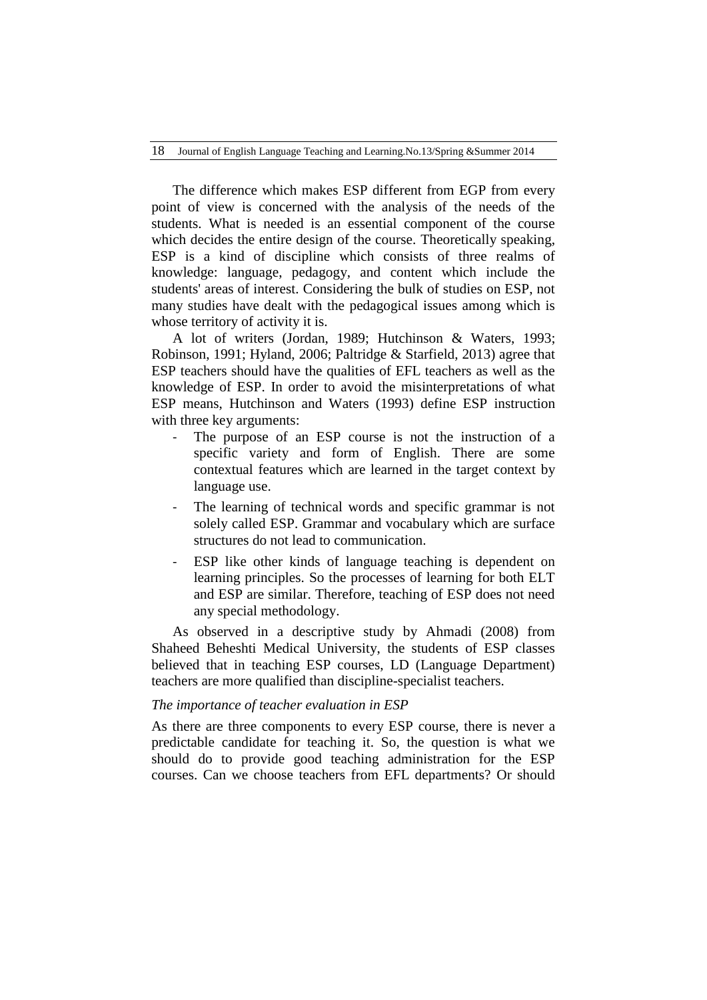The difference which makes ESP different from EGP from every point of view is concerned with the analysis of the needs of the students. What is needed is an essential component of the course which decides the entire design of the course. Theoretically speaking, ESP is a kind of discipline which consists of three realms of knowledge: language, pedagogy, and content which include the students' areas of interest. Considering the bulk of studies on ESP, not many studies have dealt with the pedagogical issues among which is whose territory of activity it is.

A lot of writers (Jordan, 1989; Hutchinson & Waters, 1993; Robinson, 1991; Hyland, 2006; Paltridge & Starfield, 2013) agree that ESP teachers should have the qualities of EFL teachers as well as the knowledge of ESP. In order to avoid the misinterpretations of what ESP means, Hutchinson and Waters (1993) define ESP instruction with three key arguments:

- The purpose of an ESP course is not the instruction of a specific variety and form of English. There are some contextual features which are learned in the target context by language use.
- The learning of technical words and specific grammar is not solely called ESP. Grammar and vocabulary which are surface structures do not lead to communication.
- ESP like other kinds of language teaching is dependent on learning principles. So the processes of learning for both ELT and ESP are similar. Therefore, teaching of ESP does not need any special methodology.

As observed in a descriptive study by Ahmadi (2008) from Shaheed Beheshti Medical University, the students of ESP classes believed that in teaching ESP courses, LD (Language Department) teachers are more qualified than discipline-specialist teachers.

## *The importance of teacher evaluation in ESP*

As there are three components to every ESP course, there is never a predictable candidate for teaching it. So, the question is what we should do to provide good teaching administration for the ESP courses. Can we choose teachers from EFL departments? Or should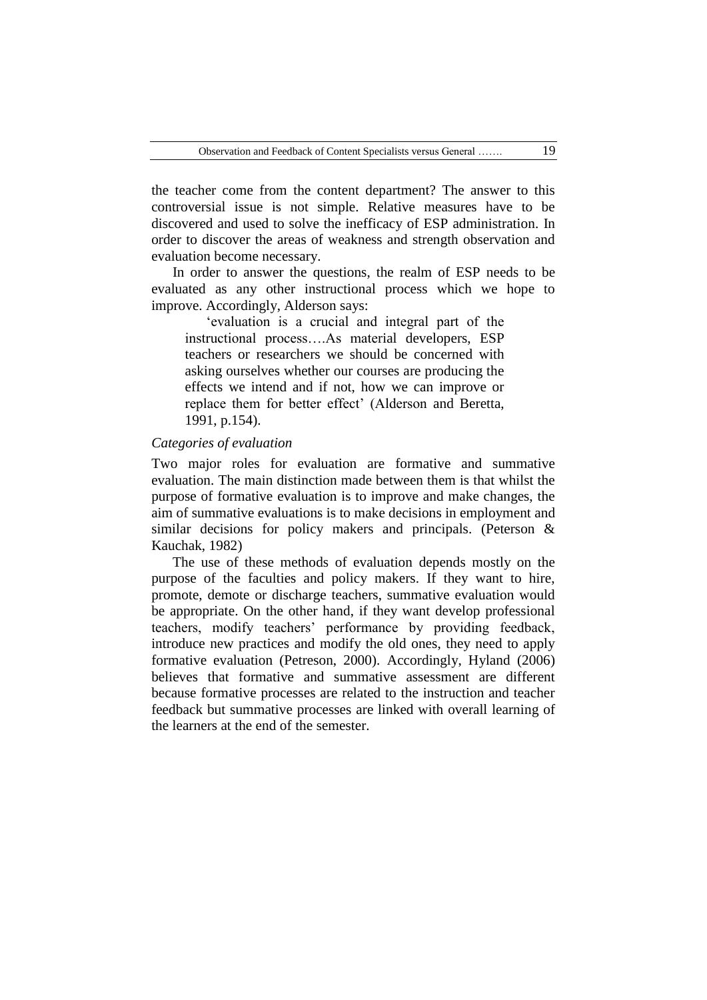the teacher come from the content department? The answer to this controversial issue is not simple. Relative measures have to be discovered and used to solve the inefficacy of ESP administration. In order to discover the areas of weakness and strength observation and evaluation become necessary.

In order to answer the questions, the realm of ESP needs to be evaluated as any other instructional process which we hope to improve. Accordingly, Alderson says:

"evaluation is a crucial and integral part of the instructional process….As material developers, ESP teachers or researchers we should be concerned with asking ourselves whether our courses are producing the effects we intend and if not, how we can improve or replace them for better effect" (Alderson and Beretta, 1991, p.154).

#### *Categories of evaluation*

Two major roles for evaluation are formative and summative evaluation. The main distinction made between them is that whilst the purpose of formative evaluation is to improve and make changes, the aim of summative evaluations is to make decisions in employment and similar decisions for policy makers and principals. (Peterson & Kauchak, 1982)

The use of these methods of evaluation depends mostly on the purpose of the faculties and policy makers. If they want to hire, promote, demote or discharge teachers, summative evaluation would be appropriate. On the other hand, if they want develop professional teachers, modify teachers' performance by providing feedback, introduce new practices and modify the old ones, they need to apply formative evaluation (Petreson, 2000). Accordingly, Hyland (2006) believes that formative and summative assessment are different because formative processes are related to the instruction and teacher feedback but summative processes are linked with overall learning of the learners at the end of the semester.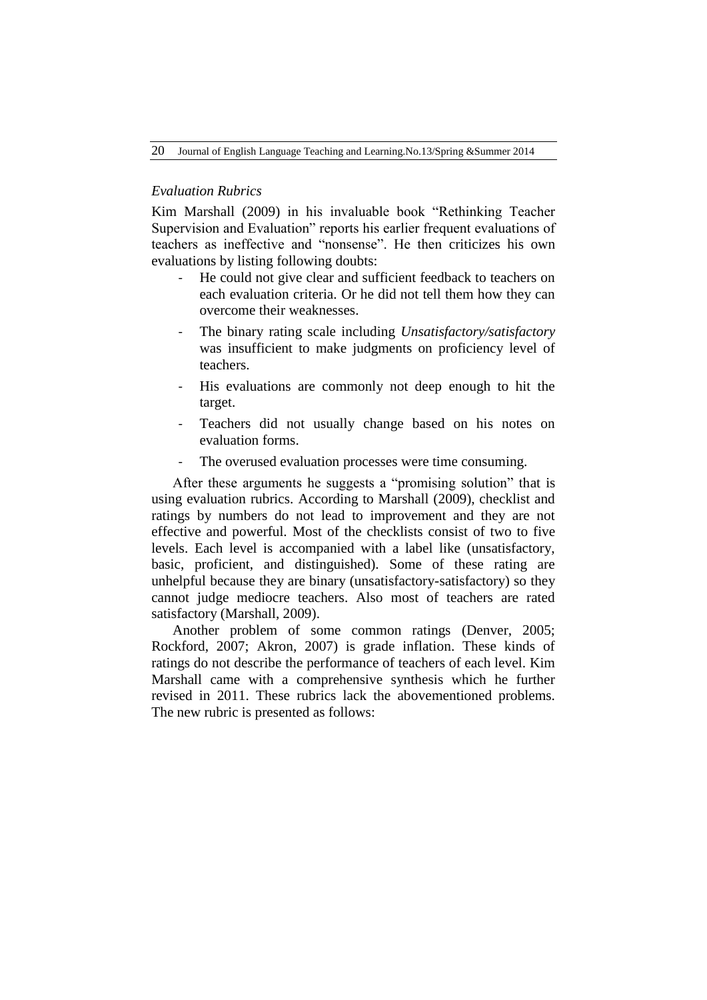## *Evaluation Rubrics*

Kim Marshall (2009) in his invaluable book "Rethinking Teacher Supervision and Evaluation" reports his earlier frequent evaluations of teachers as ineffective and "nonsense". He then criticizes his own evaluations by listing following doubts:

- He could not give clear and sufficient feedback to teachers on each evaluation criteria. Or he did not tell them how they can overcome their weaknesses.
- The binary rating scale including *Unsatisfactory/satisfactory* was insufficient to make judgments on proficiency level of teachers.
- His evaluations are commonly not deep enough to hit the target.
- Teachers did not usually change based on his notes on evaluation forms.
- The overused evaluation processes were time consuming.

After these arguments he suggests a "promising solution" that is using evaluation rubrics. According to Marshall (2009), checklist and ratings by numbers do not lead to improvement and they are not effective and powerful. Most of the checklists consist of two to five levels. Each level is accompanied with a label like (unsatisfactory, basic, proficient, and distinguished). Some of these rating are unhelpful because they are binary (unsatisfactory-satisfactory) so they cannot judge mediocre teachers. Also most of teachers are rated satisfactory (Marshall, 2009).

Another problem of some common ratings (Denver, 2005; Rockford, 2007; Akron, 2007) is grade inflation. These kinds of ratings do not describe the performance of teachers of each level. Kim Marshall came with a comprehensive synthesis which he further revised in 2011. These rubrics lack the abovementioned problems. The new rubric is presented as follows: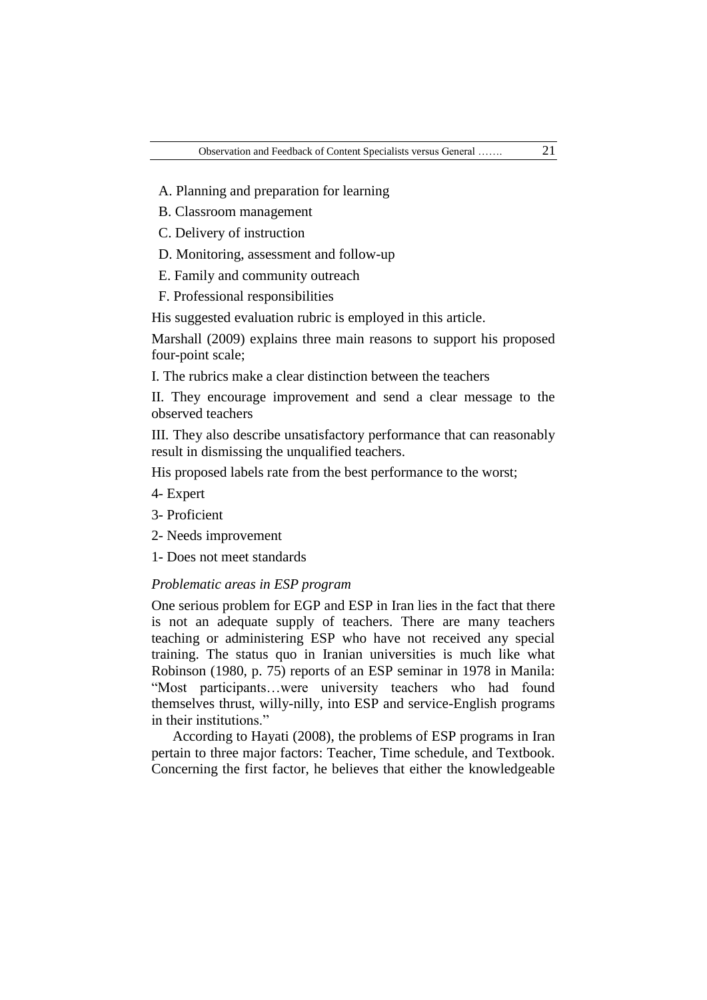- A. Planning and preparation for learning
- B. Classroom management
- C. Delivery of instruction
- D. Monitoring, assessment and follow-up
- E. Family and community outreach
- F. Professional responsibilities

His suggested evaluation rubric is employed in this article.

Marshall (2009) explains three main reasons to support his proposed four-point scale;

I. The rubrics make a clear distinction between the teachers

II. They encourage improvement and send a clear message to the observed teachers

III. They also describe unsatisfactory performance that can reasonably result in dismissing the unqualified teachers.

His proposed labels rate from the best performance to the worst;

- 4- Expert
- 3- Proficient
- 2- Needs improvement
- 1- Does not meet standards

## *Problematic areas in ESP program*

One serious problem for EGP and ESP in Iran lies in the fact that there is not an adequate supply of teachers. There are many teachers teaching or administering ESP who have not received any special training. The status quo in Iranian universities is much like what Robinson (1980, p. 75) reports of an ESP seminar in 1978 in Manila: "Most participants…were university teachers who had found themselves thrust, willy-nilly, into ESP and service-English programs in their institutions."

According to Hayati (2008), the problems of ESP programs in Iran pertain to three major factors: Teacher, Time schedule, and Textbook. Concerning the first factor, he believes that either the knowledgeable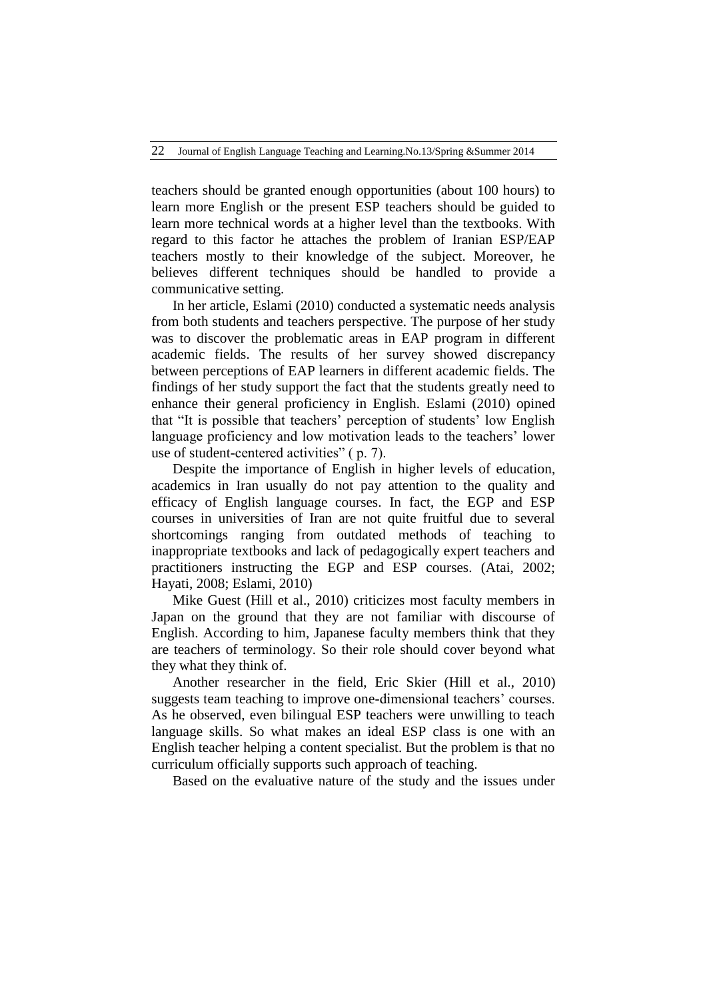teachers should be granted enough opportunities (about 100 hours) to learn more English or the present ESP teachers should be guided to learn more technical words at a higher level than the textbooks. With regard to this factor he attaches the problem of Iranian ESP/EAP teachers mostly to their knowledge of the subject. Moreover, he believes different techniques should be handled to provide a communicative setting.

In her article, Eslami (2010) conducted a systematic needs analysis from both students and teachers perspective. The purpose of her study was to discover the problematic areas in EAP program in different academic fields. The results of her survey showed discrepancy between perceptions of EAP learners in different academic fields. The findings of her study support the fact that the students greatly need to enhance their general proficiency in English. Eslami (2010) opined that "It is possible that teachers' perception of students' low English language proficiency and low motivation leads to the teachers' lower use of student-centered activities" ( p. 7).

Despite the importance of English in higher levels of education, academics in Iran usually do not pay attention to the quality and efficacy of English language courses. In fact, the EGP and ESP courses in universities of Iran are not quite fruitful due to several shortcomings ranging from outdated methods of teaching to inappropriate textbooks and lack of pedagogically expert teachers and practitioners instructing the EGP and ESP courses. (Atai, 2002; Hayati, 2008; Eslami, 2010)

Mike Guest (Hill et al., 2010) criticizes most faculty members in Japan on the ground that they are not familiar with discourse of English. According to him, Japanese faculty members think that they are teachers of terminology. So their role should cover beyond what they what they think of.

Another researcher in the field, Eric Skier (Hill et al., 2010) suggests team teaching to improve one-dimensional teachers' courses. As he observed, even bilingual ESP teachers were unwilling to teach language skills. So what makes an ideal ESP class is one with an English teacher helping a content specialist. But the problem is that no curriculum officially supports such approach of teaching.

Based on the evaluative nature of the study and the issues under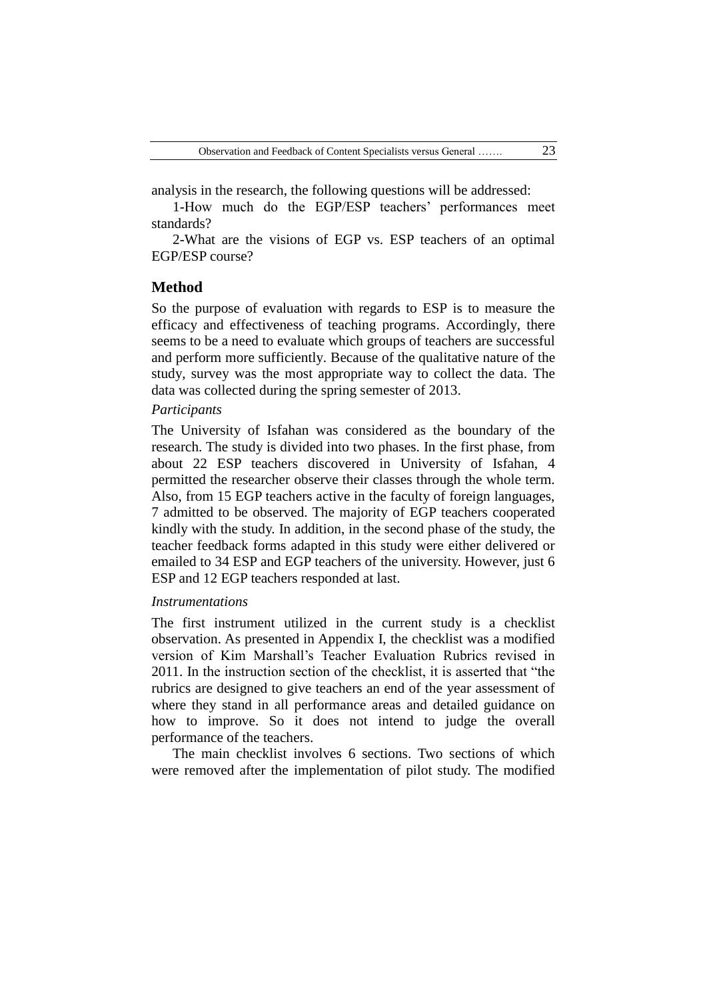analysis in the research, the following questions will be addressed:

1-How much do the EGP/ESP teachers' performances meet standards?

2-What are the visions of EGP vs. ESP teachers of an optimal EGP/ESP course?

#### **Method**

So the purpose of evaluation with regards to ESP is to measure the efficacy and effectiveness of teaching programs. Accordingly, there seems to be a need to evaluate which groups of teachers are successful and perform more sufficiently. Because of the qualitative nature of the study, survey was the most appropriate way to collect the data. The data was collected during the spring semester of 2013.

#### *Participants*

The University of Isfahan was considered as the boundary of the research. The study is divided into two phases. In the first phase, from about 22 ESP teachers discovered in University of Isfahan, 4 permitted the researcher observe their classes through the whole term. Also, from 15 EGP teachers active in the faculty of foreign languages, 7 admitted to be observed. The majority of EGP teachers cooperated kindly with the study. In addition, in the second phase of the study, the teacher feedback forms adapted in this study were either delivered or emailed to 34 ESP and EGP teachers of the university. However, just 6 ESP and 12 EGP teachers responded at last.

#### *Instrumentations*

The first instrument utilized in the current study is a checklist observation. As presented in Appendix I, the checklist was a modified version of Kim Marshall"s Teacher Evaluation Rubrics revised in 2011. In the instruction section of the checklist, it is asserted that "the rubrics are designed to give teachers an end of the year assessment of where they stand in all performance areas and detailed guidance on how to improve. So it does not intend to judge the overall performance of the teachers.

The main checklist involves 6 sections. Two sections of which were removed after the implementation of pilot study. The modified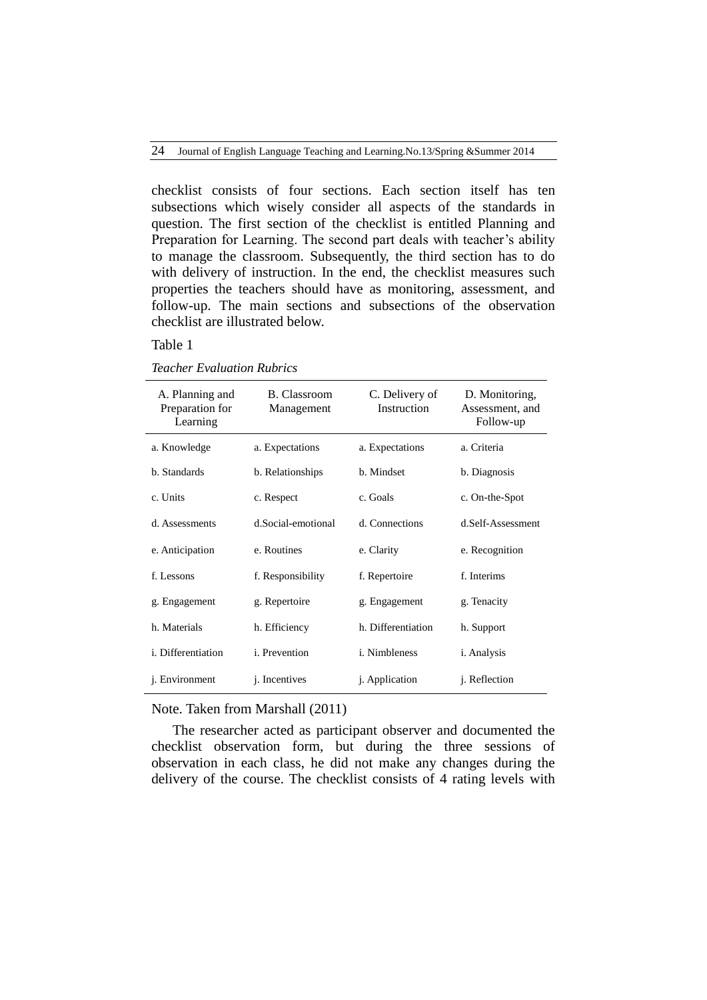checklist consists of four sections. Each section itself has ten subsections which wisely consider all aspects of the standards in question. The first section of the checklist is entitled Planning and Preparation for Learning. The second part deals with teacher's ability to manage the classroom. Subsequently, the third section has to do with delivery of instruction. In the end, the checklist measures such properties the teachers should have as monitoring, assessment, and follow-up. The main sections and subsections of the observation checklist are illustrated below.

## Table 1

| <b>Teacher Evaluation Rubrics</b> |  |  |  |  |
|-----------------------------------|--|--|--|--|
|-----------------------------------|--|--|--|--|

| A. Planning and<br>Preparation for<br>Learning | <b>B.</b> Classroom<br>Management | C. Delivery of<br>Instruction | D. Monitoring,<br>Assessment, and<br>Follow-up |
|------------------------------------------------|-----------------------------------|-------------------------------|------------------------------------------------|
| a. Knowledge                                   | a. Expectations                   | a. Expectations               | a. Criteria                                    |
| b. Standards                                   | b. Relationships                  | b. Mindset                    | b. Diagnosis                                   |
| c. Units                                       | c. Respect                        | c. Goals                      | c. On-the-Spot                                 |
| d. Assessments                                 | d.Social-emotional                | d. Connections                | d.Self-Assessment                              |
| e. Anticipation                                | e. Routines                       | e. Clarity                    | e. Recognition                                 |
| f. Lessons                                     | f. Responsibility                 | f. Repertoire                 | f. Interims                                    |
| g. Engagement                                  | g. Repertoire                     | g. Engagement                 | g. Tenacity                                    |
| h. Materials                                   | h. Efficiency                     | h. Differentiation            | h. Support                                     |
| <i>i</i> . Differentiation                     | <i>i</i> . Prevention             | <i>i</i> . Nimbleness         | <i>i.</i> Analysis                             |
| <i>i</i> . Environment                         | <i>i</i> . Incentives             | <i>i.</i> Application         | <i>i</i> . Reflection                          |

Note. Taken from Marshall (2011)

The researcher acted as participant observer and documented the checklist observation form, but during the three sessions of observation in each class, he did not make any changes during the delivery of the course. The checklist consists of 4 rating levels with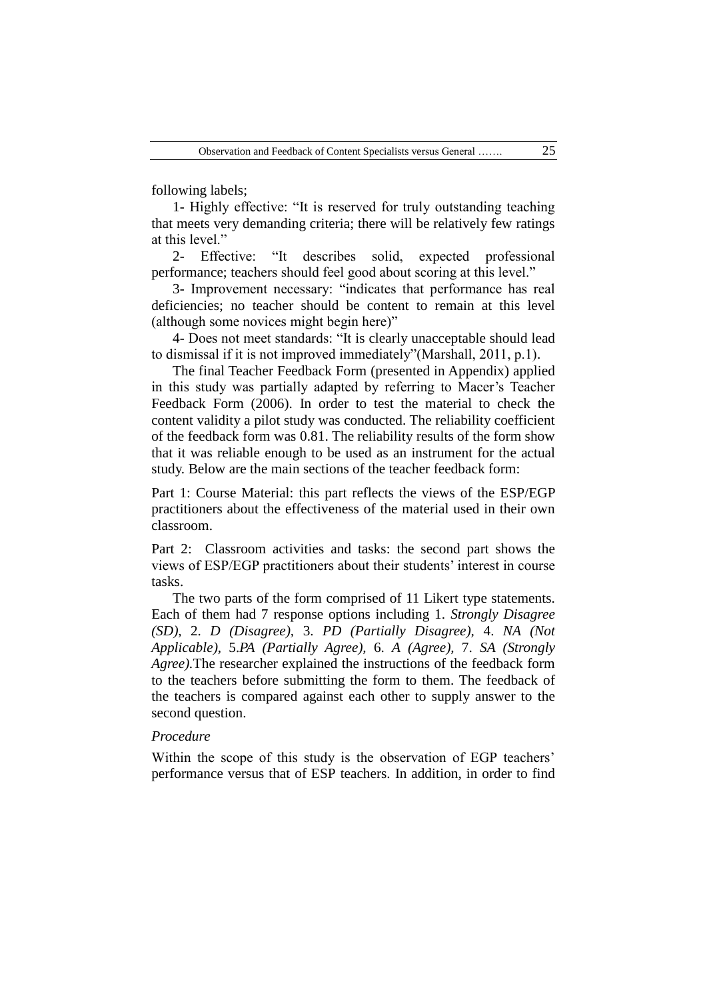following labels;

1- Highly effective: "It is reserved for truly outstanding teaching that meets very demanding criteria; there will be relatively few ratings at this level."

2- Effective: "It describes solid, expected professional performance; teachers should feel good about scoring at this level."

3- Improvement necessary: "indicates that performance has real deficiencies; no teacher should be content to remain at this level (although some novices might begin here)"

4- Does not meet standards: "It is clearly unacceptable should lead to dismissal if it is not improved immediately"(Marshall, 2011, p.1).

The final Teacher Feedback Form (presented in Appendix) applied in this study was partially adapted by referring to Macer's Teacher Feedback Form (2006). In order to test the material to check the content validity a pilot study was conducted. The reliability coefficient of the feedback form was 0.81. The reliability results of the form show that it was reliable enough to be used as an instrument for the actual study. Below are the main sections of the teacher feedback form:

Part 1: Course Material: this part reflects the views of the ESP/EGP practitioners about the effectiveness of the material used in their own classroom.

Part 2: Classroom activities and tasks: the second part shows the views of ESP/EGP practitioners about their students" interest in course tasks.

The two parts of the form comprised of 11 Likert type statements. Each of them had 7 response options including 1. *Strongly Disagree (SD),* 2. *D (Disagree),* 3. *PD (Partially Disagree),* 4. *NA (Not Applicable),* 5.*PA (Partially Agree),* 6. *A (Agree),* 7. *SA (Strongly Agree).*The researcher explained the instructions of the feedback form to the teachers before submitting the form to them. The feedback of the teachers is compared against each other to supply answer to the second question.

## *Procedure*

Within the scope of this study is the observation of EGP teachers' performance versus that of ESP teachers. In addition, in order to find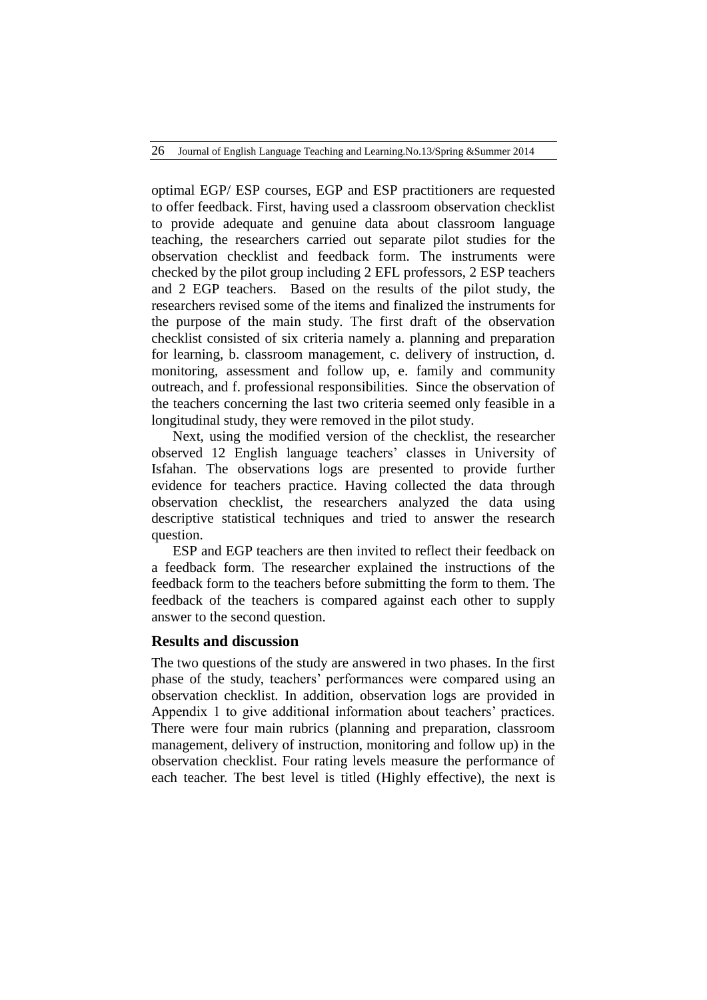optimal EGP/ ESP courses, EGP and ESP practitioners are requested to offer feedback. First, having used a classroom observation checklist to provide adequate and genuine data about classroom language teaching, the researchers carried out separate pilot studies for the observation checklist and feedback form. The instruments were checked by the pilot group including 2 EFL professors, 2 ESP teachers and 2 EGP teachers. Based on the results of the pilot study, the researchers revised some of the items and finalized the instruments for the purpose of the main study. The first draft of the observation checklist consisted of six criteria namely a. planning and preparation for learning, b. classroom management, c. delivery of instruction, d. monitoring, assessment and follow up, e. family and community outreach, and f. professional responsibilities. Since the observation of the teachers concerning the last two criteria seemed only feasible in a longitudinal study, they were removed in the pilot study.

Next, using the modified version of the checklist, the researcher observed 12 English language teachers" classes in University of Isfahan. The observations logs are presented to provide further evidence for teachers practice. Having collected the data through observation checklist, the researchers analyzed the data using descriptive statistical techniques and tried to answer the research question.

ESP and EGP teachers are then invited to reflect their feedback on a feedback form. The researcher explained the instructions of the feedback form to the teachers before submitting the form to them. The feedback of the teachers is compared against each other to supply answer to the second question.

### **Results and discussion**

The two questions of the study are answered in two phases. In the first phase of the study, teachers' performances were compared using an observation checklist. In addition, observation logs are provided in Appendix 1 to give additional information about teachers' practices. There were four main rubrics (planning and preparation, classroom management, delivery of instruction, monitoring and follow up) in the observation checklist. Four rating levels measure the performance of each teacher. The best level is titled (Highly effective), the next is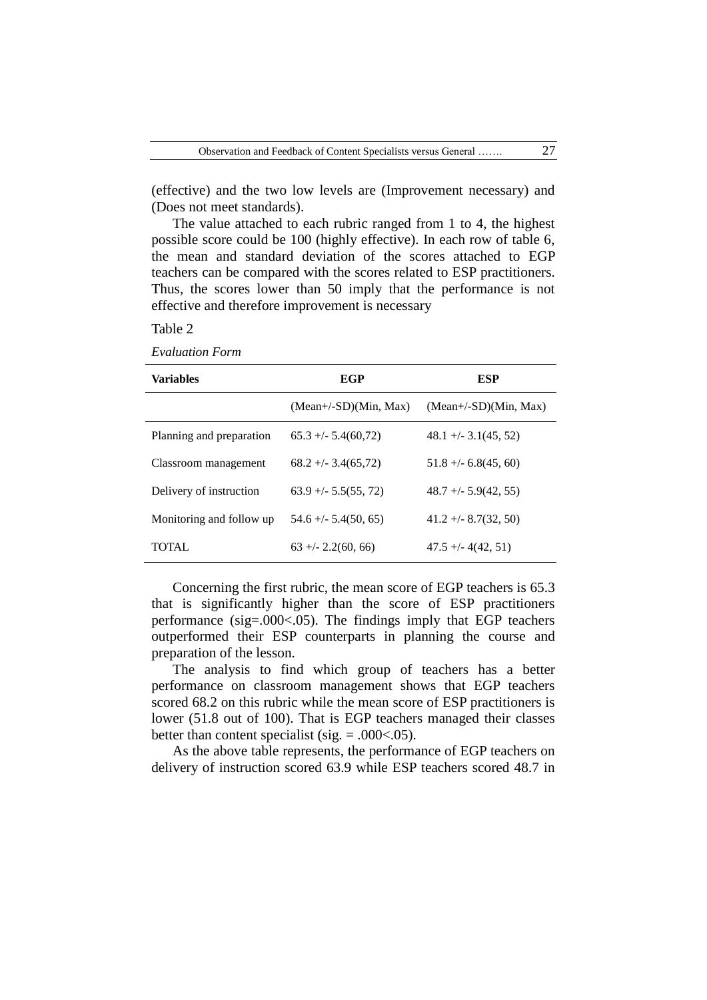(effective) and the two low levels are (Improvement necessary) and (Does not meet standards).

The value attached to each rubric ranged from 1 to 4, the highest possible score could be 100 (highly effective). In each row of table 6, the mean and standard deviation of the scores attached to EGP teachers can be compared with the scores related to ESP practitioners. Thus, the scores lower than 50 imply that the performance is not effective and therefore improvement is necessary

Table 2

*Evaluation Form*

| <b>Variables</b>         | EGP                     | ESP                     |
|--------------------------|-------------------------|-------------------------|
|                          | $(Mean+/SD)(Min, Max)$  | $(Mean+/SD)(Min, Max)$  |
| Planning and preparation | $65.3 + (-5.4(60.72))$  | $48.1 + (-3.1(45, 52))$ |
| Classroom management     | $68.2 + -3.4(65.72)$    | $51.8 + (-6.8(45, 60))$ |
| Delivery of instruction  | $63.9 + (-5.5(55, 72))$ | $48.7 + (-5.9(42, 55))$ |
| Monitoring and follow up | $54.6 + - 5.4(50, 65)$  | $41.2 + (-8.7(32, 50))$ |
| TOTAL.                   | $63 + (-2.2(60, 66))$   | $47.5 + (-4(42, 51))$   |

Concerning the first rubric, the mean score of EGP teachers is 65.3 that is significantly higher than the score of ESP practitioners performance (sig=.000<.05). The findings imply that EGP teachers outperformed their ESP counterparts in planning the course and preparation of the lesson.

The analysis to find which group of teachers has a better performance on classroom management shows that EGP teachers scored 68.2 on this rubric while the mean score of ESP practitioners is lower (51.8 out of 100). That is EGP teachers managed their classes better than content specialist (sig.  $= .000<0.05$ ).

As the above table represents, the performance of EGP teachers on delivery of instruction scored 63.9 while ESP teachers scored 48.7 in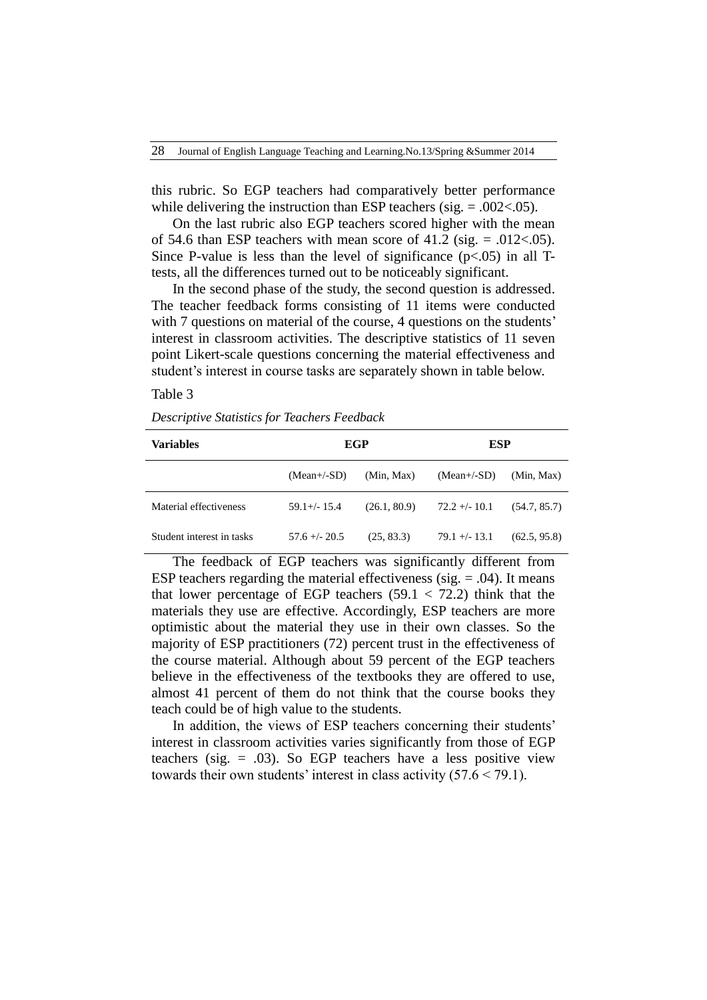this rubric. So EGP teachers had comparatively better performance while delivering the instruction than ESP teachers (sig.  $= .002<.05$ ).

On the last rubric also EGP teachers scored higher with the mean of 54.6 than ESP teachers with mean score of 41.2 (sig.  $= .012 \lt .05$ ). Since P-value is less than the level of significance  $(p<0.05)$  in all Ttests, all the differences turned out to be noticeably significant.

In the second phase of the study, the second question is addressed. The teacher feedback forms consisting of 11 items were conducted with 7 questions on material of the course, 4 questions on the students' interest in classroom activities. The descriptive statistics of 11 seven point Likert-scale questions concerning the material effectiveness and student's interest in course tasks are separately shown in table below.

#### Table 3

*Descriptive Statistics for Teachers Feedback*

| <b>Variables</b>          | EGP             |              | ESP             |              |  |  |
|---------------------------|-----------------|--------------|-----------------|--------------|--|--|
|                           | $(Mean+/SD)$    | (Min, Max)   | $(Mean+/-SD)$   | (Min, Max)   |  |  |
| Material effectiveness    | $59.1 +/- 15.4$ | (26.1, 80.9) | $72.2 + - 10.1$ | (54.7, 85.7) |  |  |
| Student interest in tasks | $57.6 + - 20.5$ | (25, 83.3)   | $79.1 + - 13.1$ | (62.5, 95.8) |  |  |

The feedback of EGP teachers was significantly different from ESP teachers regarding the material effectiveness (sig.  $= .04$ ). It means that lower percentage of EGP teachers  $(59.1 < 72.2)$  think that the materials they use are effective. Accordingly, ESP teachers are more optimistic about the material they use in their own classes. So the majority of ESP practitioners (72) percent trust in the effectiveness of the course material. Although about 59 percent of the EGP teachers believe in the effectiveness of the textbooks they are offered to use, almost 41 percent of them do not think that the course books they teach could be of high value to the students.

In addition, the views of ESP teachers concerning their students' interest in classroom activities varies significantly from those of EGP teachers (sig. = .03). So EGP teachers have a less positive view towards their own students' interest in class activity  $(57.6 \le 79.1)$ .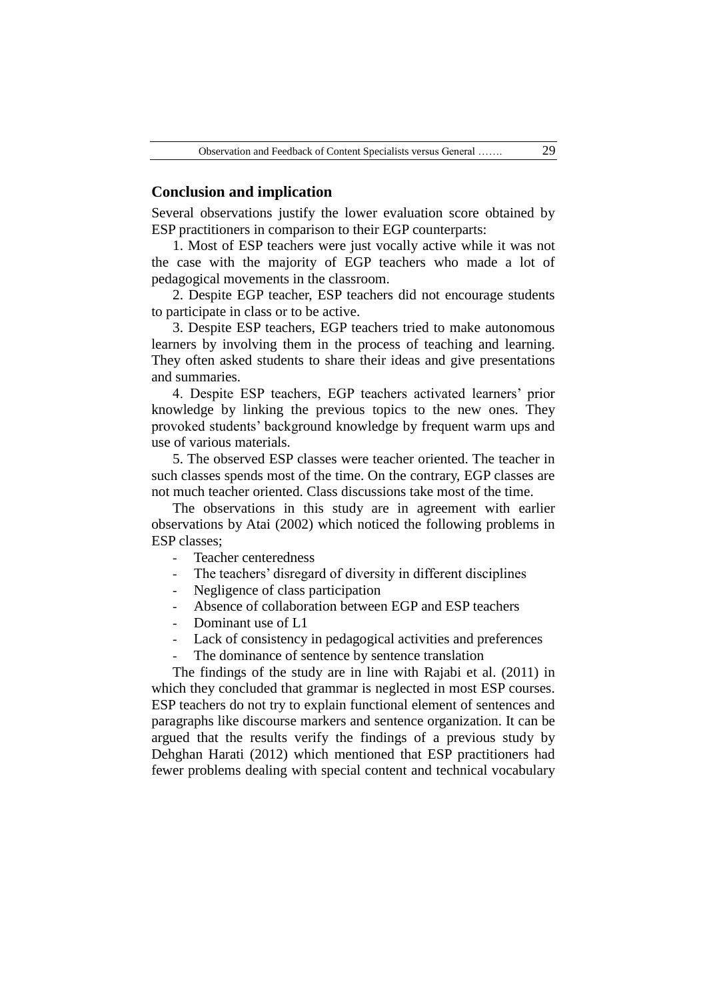#### **Conclusion and implication**

Several observations justify the lower evaluation score obtained by ESP practitioners in comparison to their EGP counterparts:

1. Most of ESP teachers were just vocally active while it was not the case with the majority of EGP teachers who made a lot of pedagogical movements in the classroom.

2. Despite EGP teacher, ESP teachers did not encourage students to participate in class or to be active.

3. Despite ESP teachers, EGP teachers tried to make autonomous learners by involving them in the process of teaching and learning. They often asked students to share their ideas and give presentations and summaries.

4. Despite ESP teachers, EGP teachers activated learners" prior knowledge by linking the previous topics to the new ones. They provoked students" background knowledge by frequent warm ups and use of various materials.

5. The observed ESP classes were teacher oriented. The teacher in such classes spends most of the time. On the contrary, EGP classes are not much teacher oriented. Class discussions take most of the time.

The observations in this study are in agreement with earlier observations by Atai (2002) which noticed the following problems in ESP classes;

- Teacher centeredness
- The teachers' disregard of diversity in different disciplines
- Negligence of class participation
- Absence of collaboration between EGP and ESP teachers
- Dominant use of L1
- Lack of consistency in pedagogical activities and preferences
- The dominance of sentence by sentence translation

The findings of the study are in line with Rajabi et al. (2011) in which they concluded that grammar is neglected in most ESP courses. ESP teachers do not try to explain functional element of sentences and paragraphs like discourse markers and sentence organization. It can be argued that the results verify the findings of a previous study by Dehghan Harati (2012) which mentioned that ESP practitioners had fewer problems dealing with special content and technical vocabulary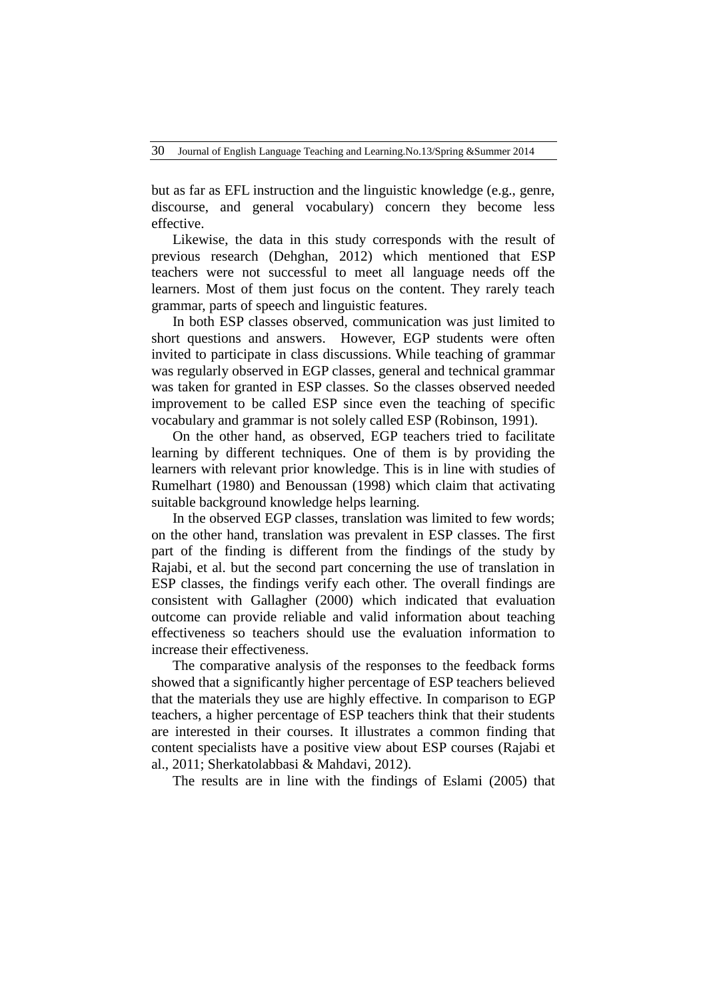but as far as EFL instruction and the linguistic knowledge (e.g., genre, discourse, and general vocabulary) concern they become less effective.

Likewise, the data in this study corresponds with the result of previous research (Dehghan, 2012) which mentioned that ESP teachers were not successful to meet all language needs off the learners. Most of them just focus on the content. They rarely teach grammar, parts of speech and linguistic features.

In both ESP classes observed, communication was just limited to short questions and answers. However, EGP students were often invited to participate in class discussions. While teaching of grammar was regularly observed in EGP classes, general and technical grammar was taken for granted in ESP classes. So the classes observed needed improvement to be called ESP since even the teaching of specific vocabulary and grammar is not solely called ESP (Robinson, 1991).

On the other hand, as observed, EGP teachers tried to facilitate learning by different techniques. One of them is by providing the learners with relevant prior knowledge. This is in line with studies of Rumelhart (1980) and Benoussan (1998) which claim that activating suitable background knowledge helps learning.

In the observed EGP classes, translation was limited to few words; on the other hand, translation was prevalent in ESP classes. The first part of the finding is different from the findings of the study by Rajabi, et al. but the second part concerning the use of translation in ESP classes, the findings verify each other. The overall findings are consistent with Gallagher (2000) which indicated that evaluation outcome can provide reliable and valid information about teaching effectiveness so teachers should use the evaluation information to increase their effectiveness.

The comparative analysis of the responses to the feedback forms showed that a significantly higher percentage of ESP teachers believed that the materials they use are highly effective. In comparison to EGP teachers, a higher percentage of ESP teachers think that their students are interested in their courses. It illustrates a common finding that content specialists have a positive view about ESP courses (Rajabi et al., 2011; Sherkatolabbasi & Mahdavi, 2012).

The results are in line with the findings of Eslami (2005) that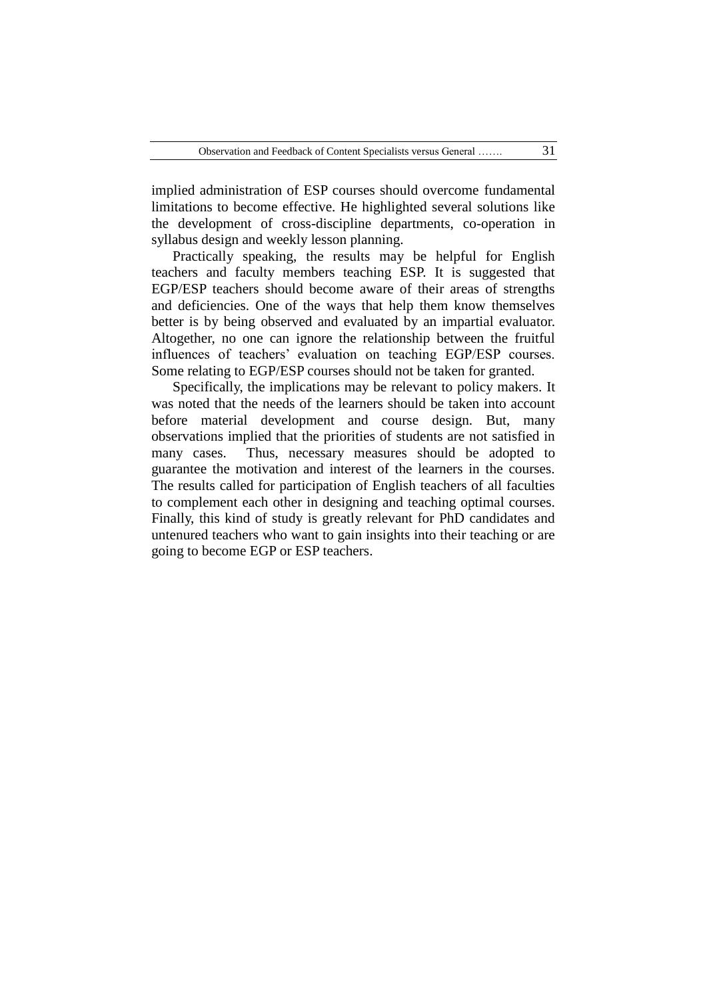implied administration of ESP courses should overcome fundamental limitations to become effective. He highlighted several solutions like the development of cross-discipline departments, co-operation in syllabus design and weekly lesson planning.

Practically speaking, the results may be helpful for English teachers and faculty members teaching ESP. It is suggested that EGP/ESP teachers should become aware of their areas of strengths and deficiencies. One of the ways that help them know themselves better is by being observed and evaluated by an impartial evaluator. Altogether, no one can ignore the relationship between the fruitful influences of teachers' evaluation on teaching EGP/ESP courses. Some relating to EGP/ESP courses should not be taken for granted.

Specifically, the implications may be relevant to policy makers. It was noted that the needs of the learners should be taken into account before material development and course design. But, many observations implied that the priorities of students are not satisfied in many cases. Thus, necessary measures should be adopted to guarantee the motivation and interest of the learners in the courses. The results called for participation of English teachers of all faculties to complement each other in designing and teaching optimal courses. Finally, this kind of study is greatly relevant for PhD candidates and untenured teachers who want to gain insights into their teaching or are going to become EGP or ESP teachers.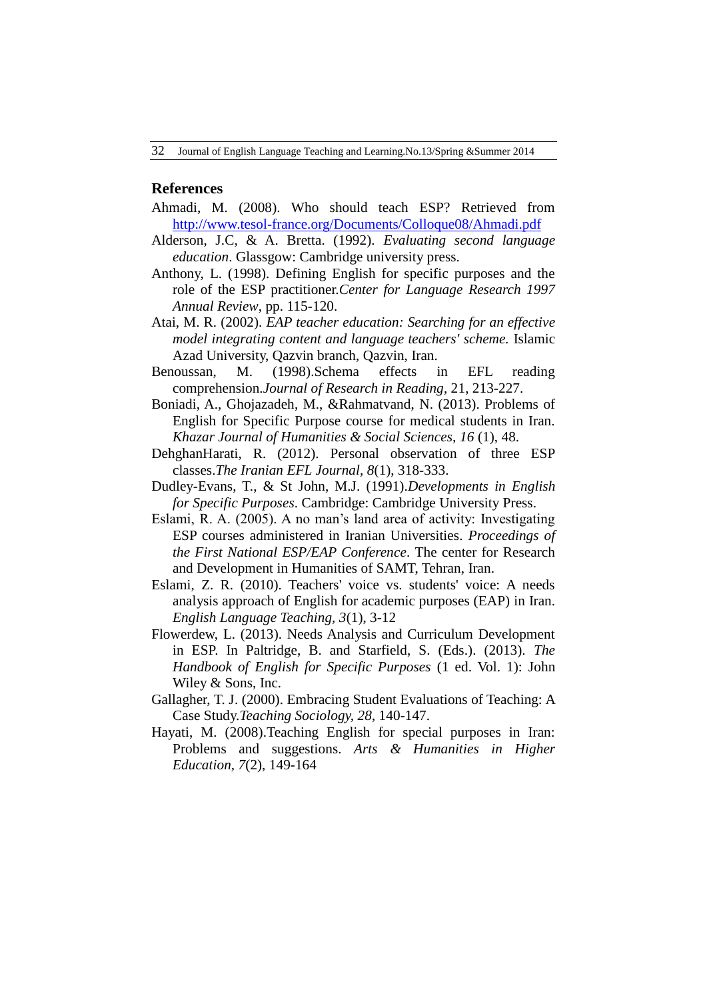#### **References**

- Ahmadi, M. (2008). Who should teach ESP? Retrieved from <http://www.tesol-france.org/Documents/Colloque08/Ahmadi.pdf>
- Alderson, J.C, & A. Bretta. (1992). *Evaluating second language education*. Glassgow: Cambridge university press.
- Anthony, L. (1998). Defining English for specific purposes and the role of the ESP practitioner.*Center for Language Research 1997 Annual Review*, pp. 115-120.
- Atai, M. R. (2002). *EAP teacher education: Searching for an effective model integrating content and language teachers' scheme.* Islamic Azad University, Qazvin branch, Qazvin, Iran.
- Benoussan, M. (1998).Schema effects in EFL reading comprehension.*Journal of Research in Reading*, 21, 213-227.
- Boniadi, A., Ghojazadeh, M., &Rahmatvand, N. (2013). Problems of English for Specific Purpose course for medical students in Iran. *Khazar Journal of Humanities & Social Sciences, 16* (1), 48.
- DehghanHarati, R. (2012). Personal observation of three ESP classes.*The Iranian EFL Journal, 8*(1), 318-333.
- Dudley-Evans, T., & St John, M.J. (1991).*Developments in English for Specific Purposes*. Cambridge: Cambridge University Press.
- Eslami, R. A. (2005). A no man"s land area of activity: Investigating ESP courses administered in Iranian Universities. *Proceedings of the First National ESP/EAP Conference*. The center for Research and Development in Humanities of SAMT, Tehran, Iran.
- Eslami, Z. R. (2010). Teachers' voice vs. students' voice: A needs analysis approach of English for academic purposes (EAP) in Iran. *English Language Teaching, 3*(1), 3-12
- Flowerdew, L. (2013). Needs Analysis and Curriculum Development in ESP. In Paltridge, B. and Starfield, S. (Eds.). (2013). *The Handbook of English for Specific Purposes* (1 ed. Vol. 1): John Wiley & Sons, Inc.
- Gallagher, T. J. (2000). Embracing Student Evaluations of Teaching: A Case Study.*Teaching Sociology, 28*, 140-147.
- Hayati, M. (2008).Teaching English for special purposes in Iran: Problems and suggestions. *Arts & Humanities in Higher Education, 7*(2), 149-164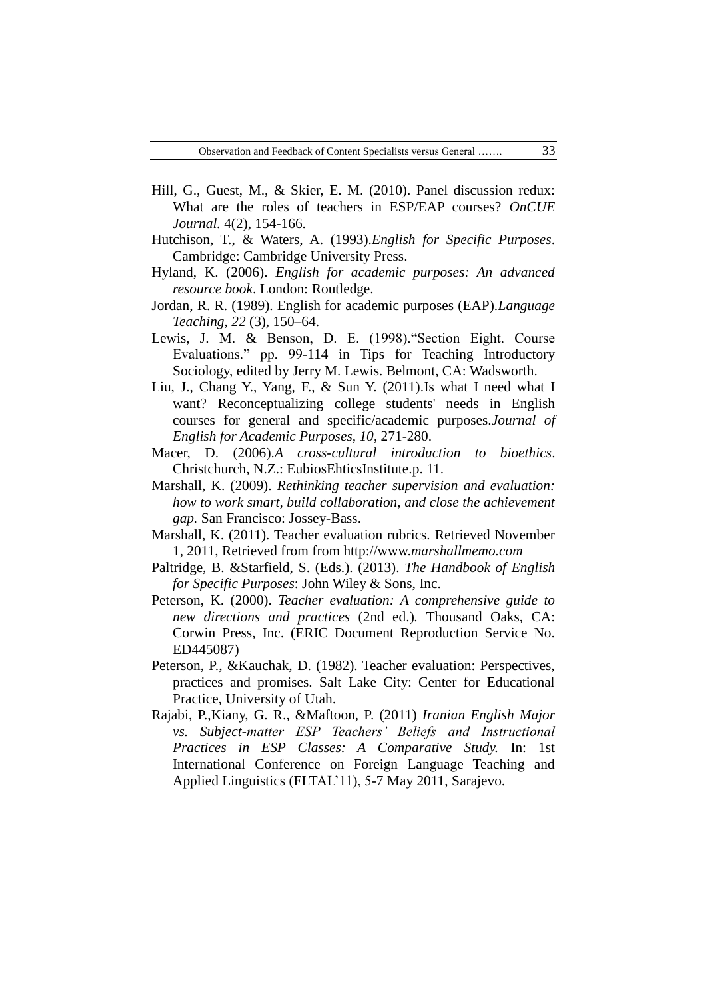- Hill, G., Guest, M., & Skier, E. M. (2010). Panel discussion redux: What are the roles of teachers in ESP/EAP courses? *OnCUE Journal.* 4(2), 154-166.
- Hutchison, T., & Waters, A. (1993).*English for Specific Purposes*. Cambridge: Cambridge University Press.
- Hyland, K. (2006). *English for academic purposes: An advanced resource book*. London: Routledge.
- Jordan, R. R. (1989). English for academic purposes (EAP).*Language Teaching*, *22* (3), 150–64.
- Lewis, J. M. & Benson, D. E. (1998)."Section Eight. Course Evaluations." pp. 99-114 in Tips for Teaching Introductory Sociology, edited by Jerry M. Lewis. Belmont, CA: Wadsworth.
- Liu, J., Chang Y., Yang, F., & Sun Y. (2011).Is what I need what I want? Reconceptualizing college students' needs in English courses for general and specific/academic purposes.*Journal of English for Academic Purposes, 10*, 271-280.
- Macer, D. (2006).*A cross-cultural introduction to bioethics*. Christchurch, N.Z.: EubiosEhticsInstitute.p. 11.
- Marshall, K. (2009). *Rethinking teacher supervision and evaluation: how to work smart, build collaboration, and close the achievement gap.* San Francisco: Jossey-Bass.
- Marshall, K. (2011). Teacher evaluation rubrics. Retrieved November 1, 2011, Retrieved from from http://www.*marshallmemo.com*
- Paltridge, B. &Starfield, S. (Eds.). (2013). *The Handbook of English for Specific Purposes*: John Wiley & Sons, Inc.
- Peterson, K. (2000). *Teacher evaluation: A comprehensive guide to new directions and practices* (2nd ed.)*.* Thousand Oaks, CA: Corwin Press, Inc. (ERIC Document Reproduction Service No. ED445087)
- Peterson, P., &Kauchak, D. (1982). Teacher evaluation: Perspectives, practices and promises. Salt Lake City: Center for Educational Practice, University of Utah.
- Rajabi, P.,Kiany, G. R., &Maftoon, P. (2011) *Iranian English Major vs. Subject-matter ESP Teachers' Beliefs and Instructional Practices in ESP Classes: A Comparative Study.* In: 1st International Conference on Foreign Language Teaching and Applied Linguistics (FLTAL"11), 5-7 May 2011, Sarajevo.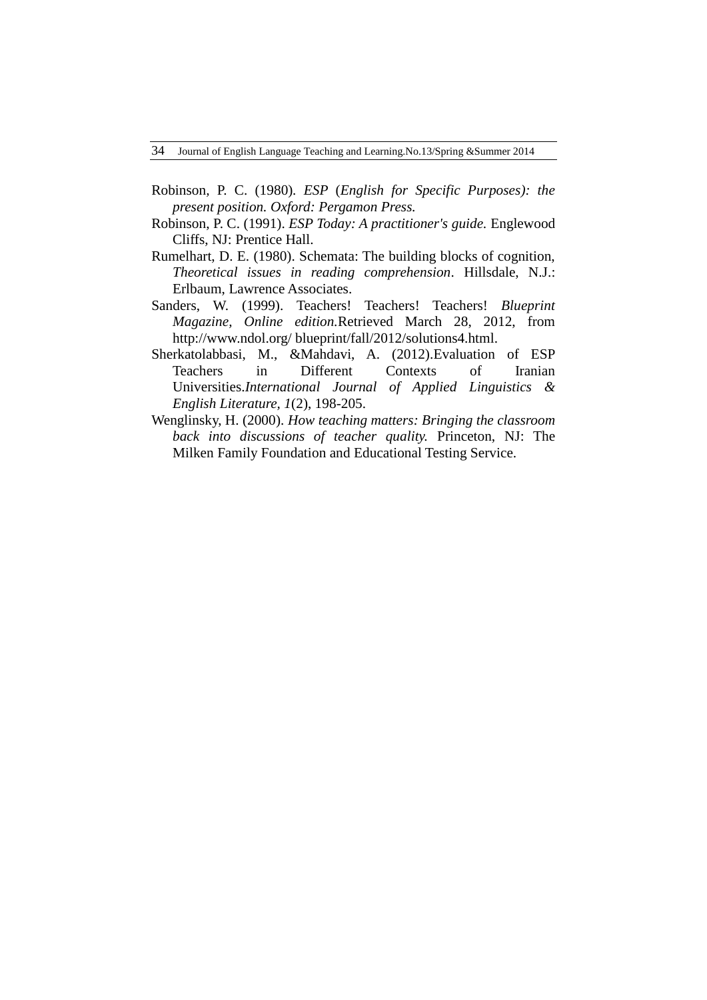- Robinson*,* P. C. (1980)*. ESP* (*English for Specific Purposes): the present position. Oxford: Pergamon Press.*
- Robinson, P. C. (1991). *ESP Today: A practitioner's guide.* Englewood Cliffs, NJ: Prentice Hall.
- Rumelhart, D. E. (1980). Schemata: The building blocks of cognition, *Theoretical issues in reading comprehension*. Hillsdale, N.J.: Erlbaum, Lawrence Associates.
- Sanders, W. (1999). Teachers! Teachers! Teachers! *Blueprint Magazine, Online edition.*Retrieved March 28, 2012, from http://www.ndol.org/ blueprint/fall/2012/solutions4.html.
- Sherkatolabbasi, M., &Mahdavi, A. (2012).Evaluation of ESP Teachers in Different Contexts of Iranian Universities.*International Journal of Applied Linguistics & English Literature, 1*(2), 198-205.
- Wenglinsky, H. (2000). *How teaching matters: Bringing the classroom back into discussions of teacher quality.* Princeton, NJ: The Milken Family Foundation and Educational Testing Service.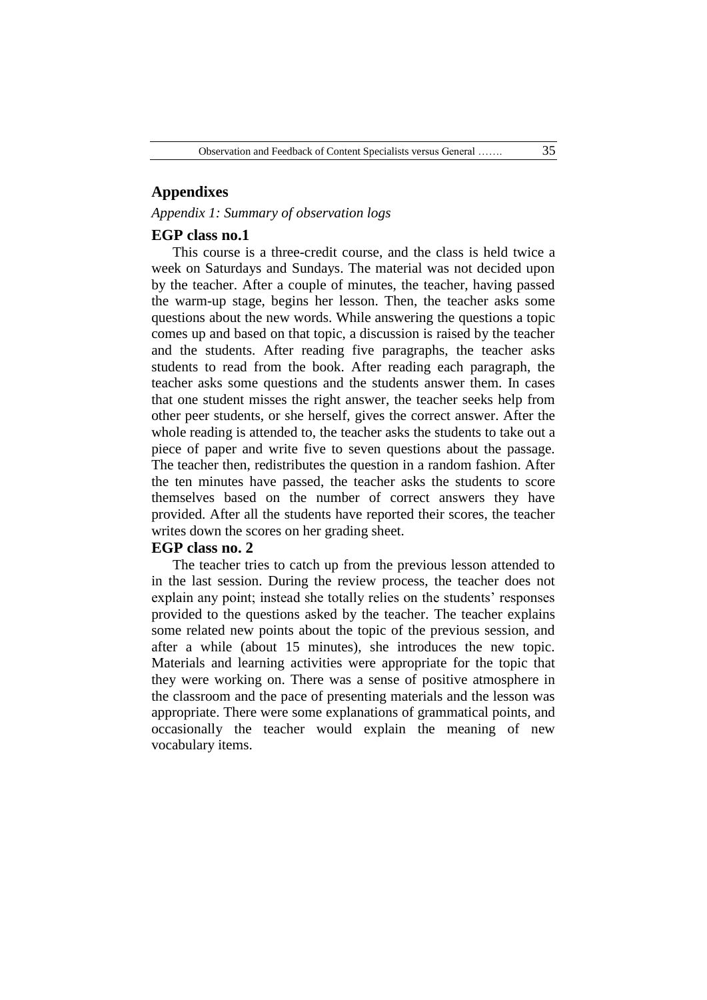## **Appendixes**

*Appendix 1: Summary of observation logs*

#### **EGP class no.1**

This course is a three-credit course, and the class is held twice a week on Saturdays and Sundays. The material was not decided upon by the teacher. After a couple of minutes, the teacher, having passed the warm-up stage, begins her lesson. Then, the teacher asks some questions about the new words. While answering the questions a topic comes up and based on that topic, a discussion is raised by the teacher and the students. After reading five paragraphs, the teacher asks students to read from the book. After reading each paragraph, the teacher asks some questions and the students answer them. In cases that one student misses the right answer, the teacher seeks help from other peer students, or she herself, gives the correct answer. After the whole reading is attended to, the teacher asks the students to take out a piece of paper and write five to seven questions about the passage. The teacher then, redistributes the question in a random fashion. After the ten minutes have passed, the teacher asks the students to score themselves based on the number of correct answers they have provided. After all the students have reported their scores, the teacher writes down the scores on her grading sheet.

# **EGP class no. 2**

The teacher tries to catch up from the previous lesson attended to in the last session. During the review process, the teacher does not explain any point; instead she totally relies on the students' responses provided to the questions asked by the teacher. The teacher explains some related new points about the topic of the previous session, and after a while (about 15 minutes), she introduces the new topic. Materials and learning activities were appropriate for the topic that they were working on. There was a sense of positive atmosphere in the classroom and the pace of presenting materials and the lesson was appropriate. There were some explanations of grammatical points, and occasionally the teacher would explain the meaning of new vocabulary items.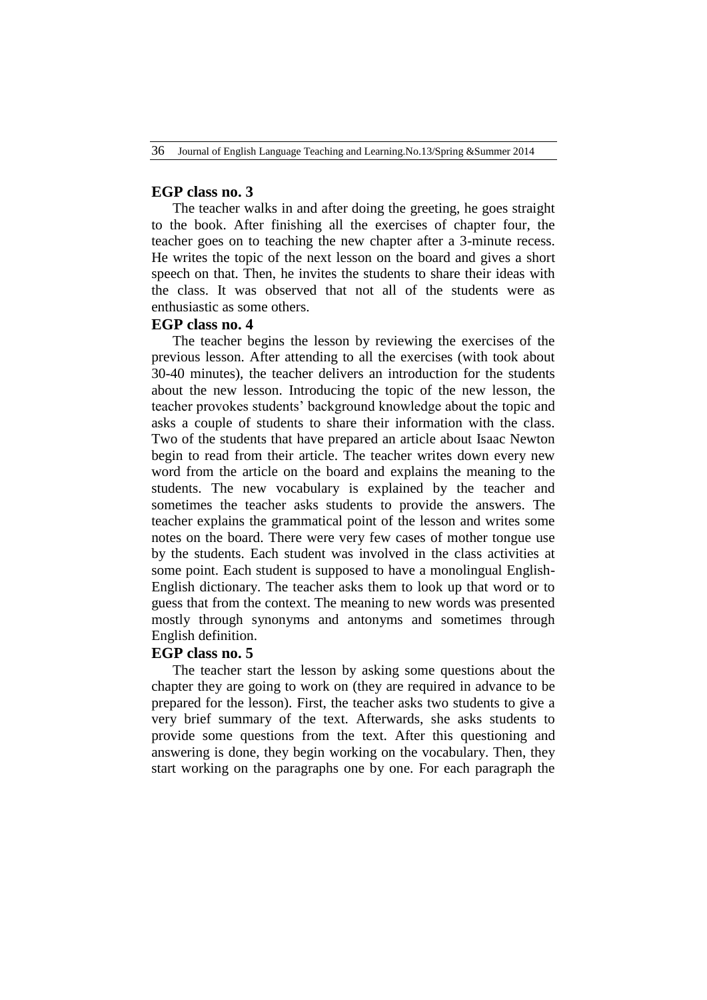# **EGP class no. 3**

The teacher walks in and after doing the greeting, he goes straight to the book. After finishing all the exercises of chapter four, the teacher goes on to teaching the new chapter after a 3-minute recess. He writes the topic of the next lesson on the board and gives a short speech on that. Then, he invites the students to share their ideas with the class. It was observed that not all of the students were as enthusiastic as some others.

## **EGP class no. 4**

The teacher begins the lesson by reviewing the exercises of the previous lesson. After attending to all the exercises (with took about 30-40 minutes), the teacher delivers an introduction for the students about the new lesson. Introducing the topic of the new lesson, the teacher provokes students" background knowledge about the topic and asks a couple of students to share their information with the class. Two of the students that have prepared an article about Isaac Newton begin to read from their article. The teacher writes down every new word from the article on the board and explains the meaning to the students. The new vocabulary is explained by the teacher and sometimes the teacher asks students to provide the answers. The teacher explains the grammatical point of the lesson and writes some notes on the board. There were very few cases of mother tongue use by the students. Each student was involved in the class activities at some point. Each student is supposed to have a monolingual English-English dictionary. The teacher asks them to look up that word or to guess that from the context. The meaning to new words was presented mostly through synonyms and antonyms and sometimes through English definition.

#### **EGP class no. 5**

The teacher start the lesson by asking some questions about the chapter they are going to work on (they are required in advance to be prepared for the lesson). First, the teacher asks two students to give a very brief summary of the text. Afterwards, she asks students to provide some questions from the text. After this questioning and answering is done, they begin working on the vocabulary. Then, they start working on the paragraphs one by one. For each paragraph the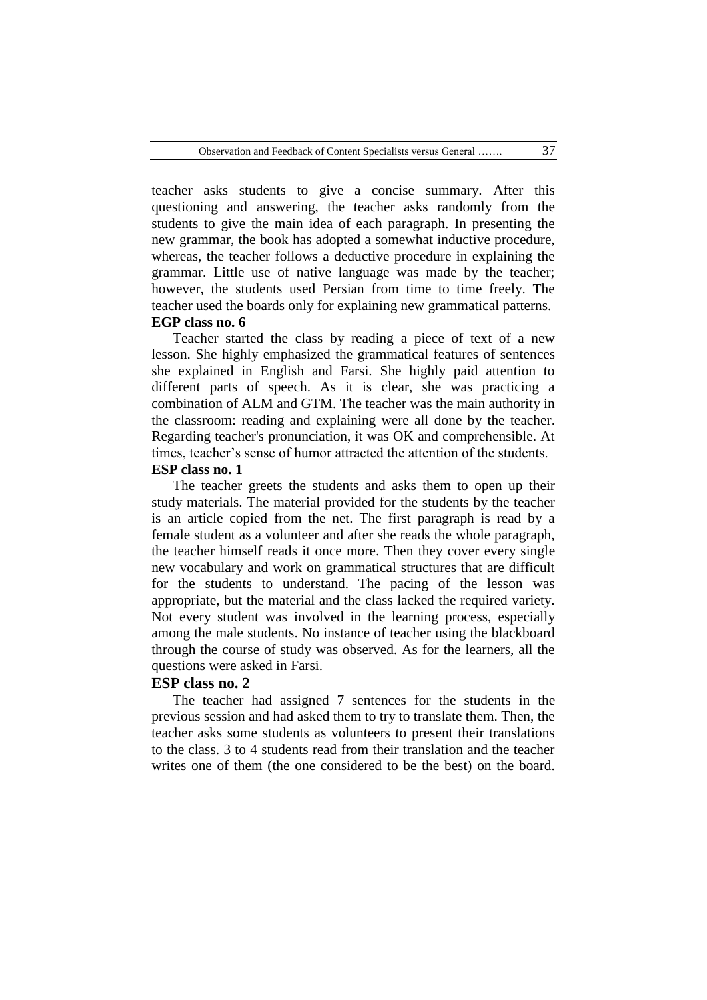teacher asks students to give a concise summary. After this questioning and answering, the teacher asks randomly from the students to give the main idea of each paragraph. In presenting the new grammar, the book has adopted a somewhat inductive procedure, whereas, the teacher follows a deductive procedure in explaining the grammar. Little use of native language was made by the teacher; however, the students used Persian from time to time freely. The teacher used the boards only for explaining new grammatical patterns. **EGP class no. 6**

Teacher started the class by reading a piece of text of a new lesson. She highly emphasized the grammatical features of sentences she explained in English and Farsi. She highly paid attention to different parts of speech. As it is clear, she was practicing a combination of ALM and GTM. The teacher was the main authority in the classroom: reading and explaining were all done by the teacher. Regarding teacher's pronunciation, it was OK and comprehensible. At times, teacher"s sense of humor attracted the attention of the students.

#### **ESP class no. 1**

The teacher greets the students and asks them to open up their study materials. The material provided for the students by the teacher is an article copied from the net. The first paragraph is read by a female student as a volunteer and after she reads the whole paragraph, the teacher himself reads it once more. Then they cover every single new vocabulary and work on grammatical structures that are difficult for the students to understand. The pacing of the lesson was appropriate, but the material and the class lacked the required variety. Not every student was involved in the learning process, especially among the male students. No instance of teacher using the blackboard through the course of study was observed. As for the learners, all the questions were asked in Farsi.

# **ESP class no. 2**

The teacher had assigned 7 sentences for the students in the previous session and had asked them to try to translate them. Then, the teacher asks some students as volunteers to present their translations to the class. 3 to 4 students read from their translation and the teacher writes one of them (the one considered to be the best) on the board.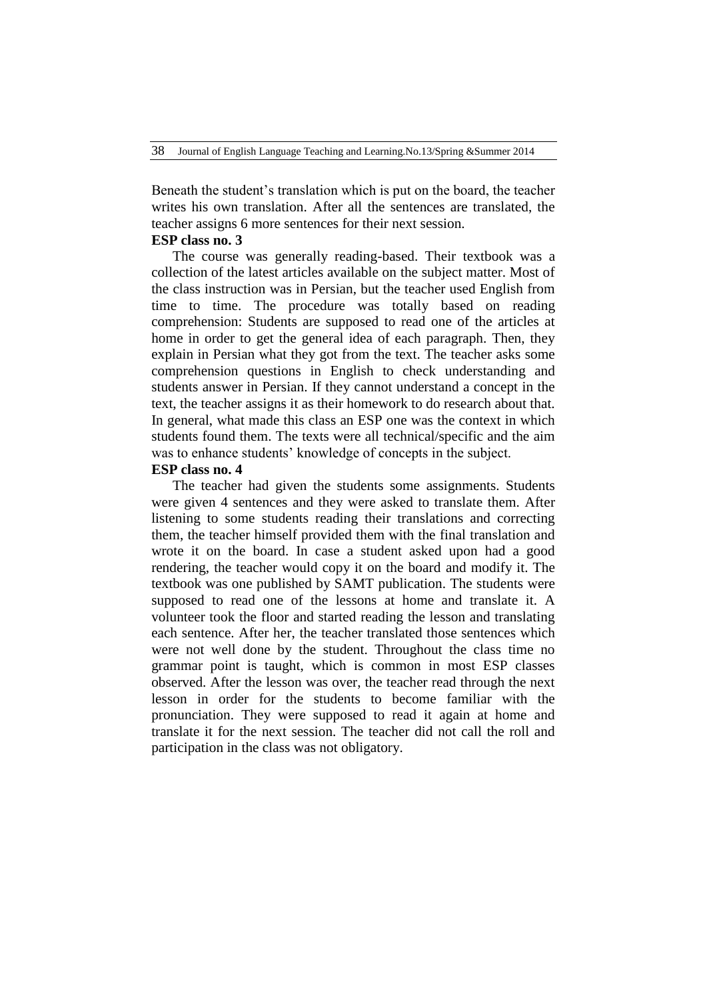Beneath the student"s translation which is put on the board, the teacher writes his own translation. After all the sentences are translated, the teacher assigns 6 more sentences for their next session.

## **ESP class no. 3**

The course was generally reading-based. Their textbook was a collection of the latest articles available on the subject matter. Most of the class instruction was in Persian, but the teacher used English from time to time. The procedure was totally based on reading comprehension: Students are supposed to read one of the articles at home in order to get the general idea of each paragraph. Then, they explain in Persian what they got from the text. The teacher asks some comprehension questions in English to check understanding and students answer in Persian. If they cannot understand a concept in the text, the teacher assigns it as their homework to do research about that. In general, what made this class an ESP one was the context in which students found them. The texts were all technical/specific and the aim was to enhance students' knowledge of concepts in the subject.

#### **ESP class no. 4**

The teacher had given the students some assignments. Students were given 4 sentences and they were asked to translate them. After listening to some students reading their translations and correcting them, the teacher himself provided them with the final translation and wrote it on the board. In case a student asked upon had a good rendering, the teacher would copy it on the board and modify it. The textbook was one published by SAMT publication. The students were supposed to read one of the lessons at home and translate it. A volunteer took the floor and started reading the lesson and translating each sentence. After her, the teacher translated those sentences which were not well done by the student. Throughout the class time no grammar point is taught, which is common in most ESP classes observed. After the lesson was over, the teacher read through the next lesson in order for the students to become familiar with the pronunciation. They were supposed to read it again at home and translate it for the next session. The teacher did not call the roll and participation in the class was not obligatory.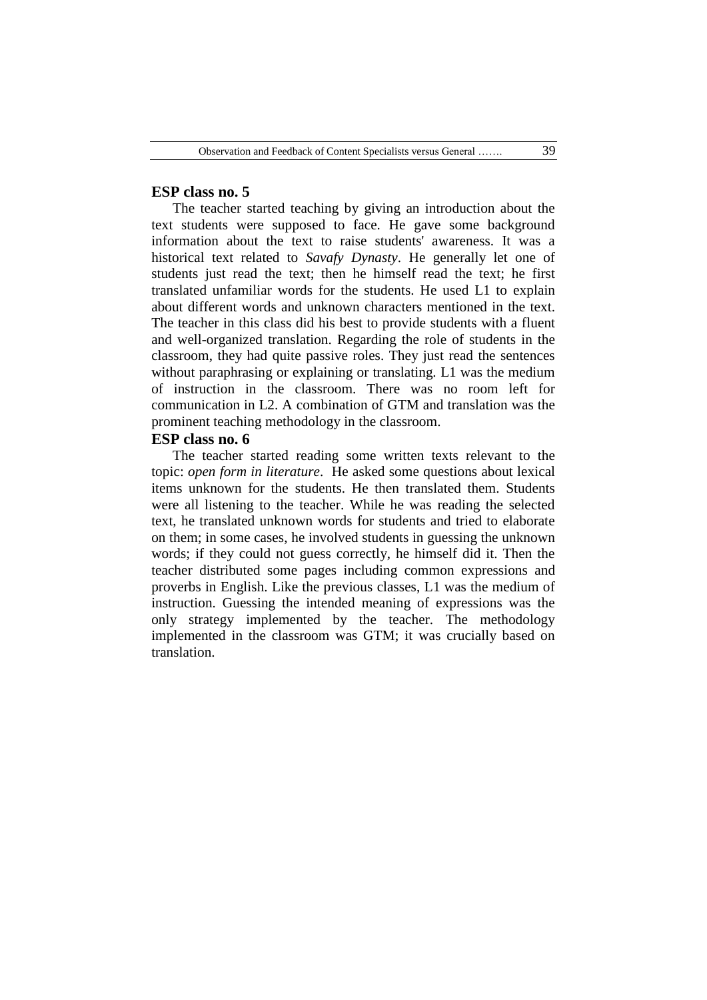## **ESP class no. 5**

The teacher started teaching by giving an introduction about the text students were supposed to face. He gave some background information about the text to raise students' awareness. It was a historical text related to *Savafy Dynasty*. He generally let one of students just read the text; then he himself read the text; he first translated unfamiliar words for the students. He used L1 to explain about different words and unknown characters mentioned in the text. The teacher in this class did his best to provide students with a fluent and well-organized translation. Regarding the role of students in the classroom, they had quite passive roles. They just read the sentences without paraphrasing or explaining or translating. L1 was the medium of instruction in the classroom. There was no room left for communication in L2. A combination of GTM and translation was the prominent teaching methodology in the classroom.

# **ESP class no. 6**

The teacher started reading some written texts relevant to the topic: *open form in literature*. He asked some questions about lexical items unknown for the students. He then translated them. Students were all listening to the teacher. While he was reading the selected text, he translated unknown words for students and tried to elaborate on them; in some cases, he involved students in guessing the unknown words; if they could not guess correctly, he himself did it. Then the teacher distributed some pages including common expressions and proverbs in English. Like the previous classes, L1 was the medium of instruction. Guessing the intended meaning of expressions was the only strategy implemented by the teacher. The methodology implemented in the classroom was GTM; it was crucially based on translation.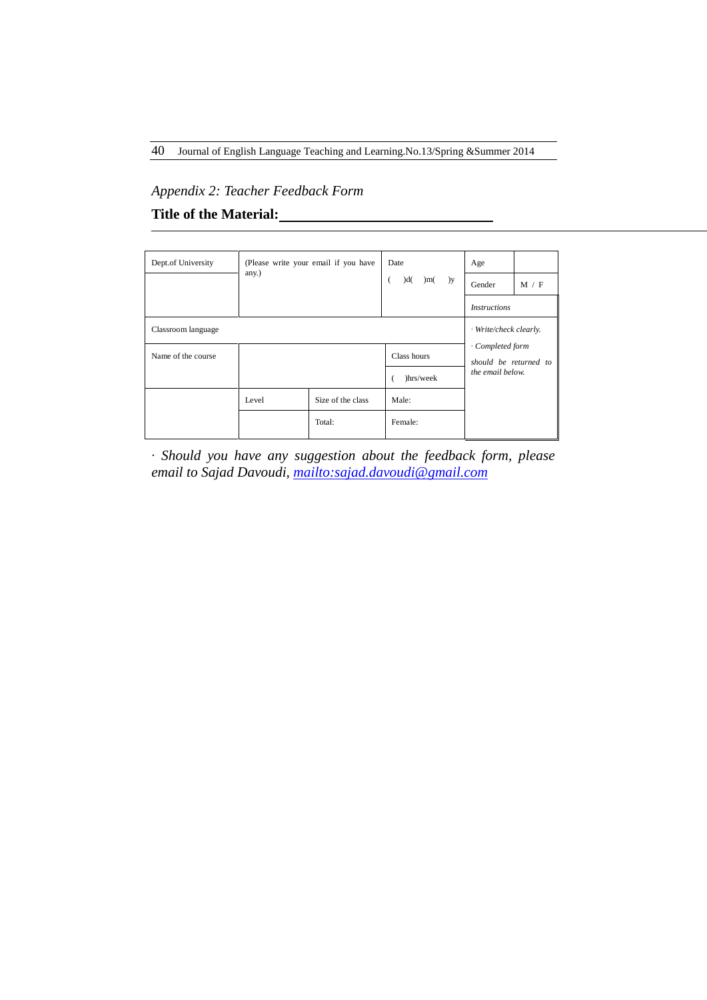# *Appendix 2: Teacher Feedback Form*

# **Title of the Material:**

| Dept.of University | (Please write your email if you have<br>Date<br>any.)<br>dd(<br>)m(<br>( |                   |             | Age                                       |       |  |
|--------------------|--------------------------------------------------------------------------|-------------------|-------------|-------------------------------------------|-------|--|
|                    |                                                                          |                   | )y          | Gender                                    | M / F |  |
|                    |                                                                          |                   |             | <i>Instructions</i>                       |       |  |
| Classroom language |                                                                          |                   |             | · Write/check clearly.                    |       |  |
| Name of the course |                                                                          |                   | Class hours | · Completed form<br>should be returned to |       |  |
|                    |                                                                          |                   | )hrs/week   | the email below.                          |       |  |
|                    | Level                                                                    | Size of the class | Male:       |                                           |       |  |
|                    |                                                                          | Total:            | Female:     |                                           |       |  |

*∙ Should you have any suggestion about the feedback form, please email to Sajad Davoudi,<mailto:sajad.davoudi@gmail.com>*